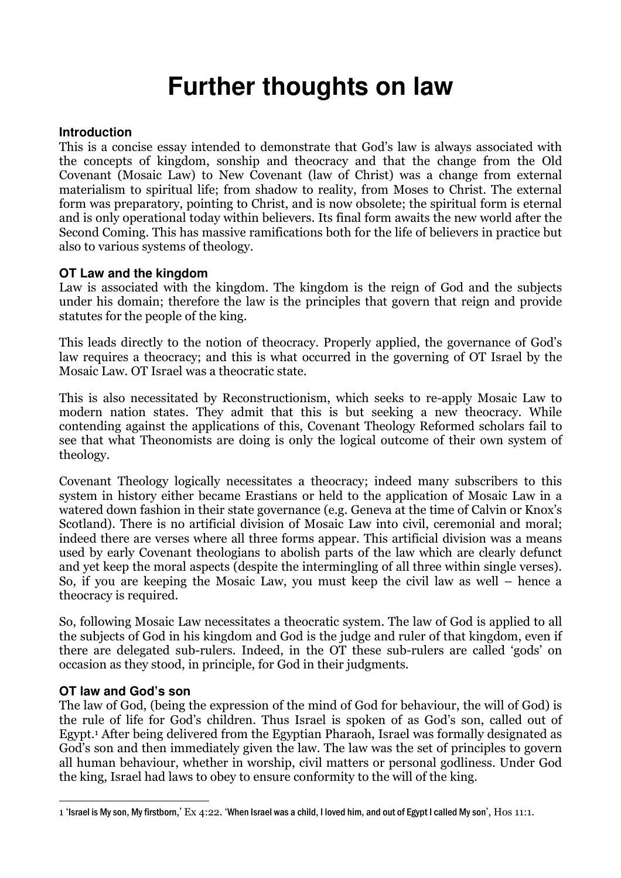# **Further thoughts on law**

# **Introduction**

This is a concise essay intended to demonstrate that God's law is always associated with the concepts of kingdom, sonship and theocracy and that the change from the Old Covenant (Mosaic Law) to New Covenant (law of Christ) was a change from external materialism to spiritual life; from shadow to reality, from Moses to Christ. The external form was preparatory, pointing to Christ, and is now obsolete; the spiritual form is eternal and is only operational today within believers. Its final form awaits the new world after the Second Coming. This has massive ramifications both for the life of believers in practice but also to various systems of theology.

# **OT Law and the kingdom**

Law is associated with the kingdom. The kingdom is the reign of God and the subjects under his domain; therefore the law is the principles that govern that reign and provide statutes for the people of the king.

This leads directly to the notion of theocracy. Properly applied, the governance of God's law requires a theocracy; and this is what occurred in the governing of OT Israel by the Mosaic Law. OT Israel was a theocratic state.

This is also necessitated by Reconstructionism, which seeks to re-apply Mosaic Law to modern nation states. They admit that this is but seeking a new theocracy. While contending against the applications of this, Covenant Theology Reformed scholars fail to see that what Theonomists are doing is only the logical outcome of their own system of theology.

Covenant Theology logically necessitates a theocracy; indeed many subscribers to this system in history either became Erastians or held to the application of Mosaic Law in a watered down fashion in their state governance (e.g. Geneva at the time of Calvin or Knox's Scotland). There is no artificial division of Mosaic Law into civil, ceremonial and moral; indeed there are verses where all three forms appear. This artificial division was a means used by early Covenant theologians to abolish parts of the law which are clearly defunct and yet keep the moral aspects (despite the intermingling of all three within single verses). So, if you are keeping the Mosaic Law, you must keep the civil law as well – hence a theocracy is required.

So, following Mosaic Law necessitates a theocratic system. The law of God is applied to all the subjects of God in his kingdom and God is the judge and ruler of that kingdom, even if there are delegated sub-rulers. Indeed, in the OT these sub-rulers are called 'gods' on occasion as they stood, in principle, for God in their judgments.

# **OT law and God's son**

The law of God, (being the expression of the mind of God for behaviour, the will of God) is the rule of life for God's children. Thus Israel is spoken of as God's son, called out of Egypt.<sup>1</sup> After being delivered from the Egyptian Pharaoh, Israel was formally designated as God's son and then immediately given the law. The law was the set of principles to govern all human behaviour, whether in worship, civil matters or personal godliness. Under God the king, Israel had laws to obey to ensure conformity to the will of the king.

I 1 'Israel is My son, My firstborn,' Ex 4:22. 'When Israel was a child, I loved him, and out of Egypt I called My son', Hos 11:1.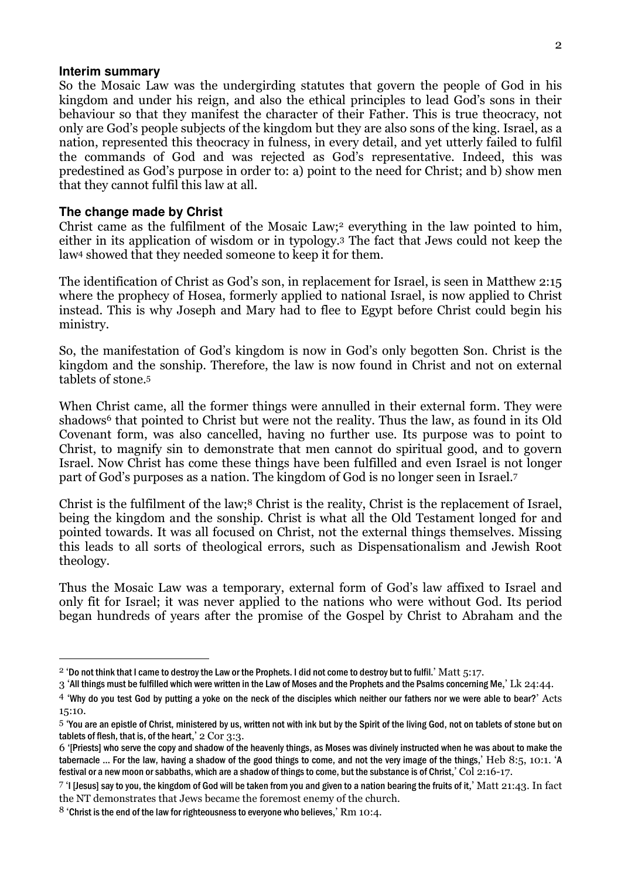#### **Interim summary**

 $\overline{a}$ 

So the Mosaic Law was the undergirding statutes that govern the people of God in his kingdom and under his reign, and also the ethical principles to lead God's sons in their behaviour so that they manifest the character of their Father. This is true theocracy, not only are God's people subjects of the kingdom but they are also sons of the king. Israel, as a nation, represented this theocracy in fulness, in every detail, and yet utterly failed to fulfil the commands of God and was rejected as God's representative. Indeed, this was predestined as God's purpose in order to: a) point to the need for Christ; and b) show men that they cannot fulfil this law at all.

#### **The change made by Christ**

Christ came as the fulfilment of the Mosaic Law;2 everything in the law pointed to him, either in its application of wisdom or in typology.3 The fact that Jews could not keep the law4 showed that they needed someone to keep it for them.

The identification of Christ as God's son, in replacement for Israel, is seen in Matthew 2:15 where the prophecy of Hosea, formerly applied to national Israel, is now applied to Christ instead. This is why Joseph and Mary had to flee to Egypt before Christ could begin his ministry.

So, the manifestation of God's kingdom is now in God's only begotten Son. Christ is the kingdom and the sonship. Therefore, the law is now found in Christ and not on external tablets of stone.<sup>5</sup>

When Christ came, all the former things were annulled in their external form. They were shadows<sup>6</sup> that pointed to Christ but were not the reality. Thus the law, as found in its Old Covenant form, was also cancelled, having no further use. Its purpose was to point to Christ, to magnify sin to demonstrate that men cannot do spiritual good, and to govern Israel. Now Christ has come these things have been fulfilled and even Israel is not longer part of God's purposes as a nation. The kingdom of God is no longer seen in Israel.<sup>7</sup>

Christ is the fulfilment of the law;8 Christ is the reality, Christ is the replacement of Israel, being the kingdom and the sonship. Christ is what all the Old Testament longed for and pointed towards. It was all focused on Christ, not the external things themselves. Missing this leads to all sorts of theological errors, such as Dispensationalism and Jewish Root theology.

Thus the Mosaic Law was a temporary, external form of God's law affixed to Israel and only fit for Israel; it was never applied to the nations who were without God. Its period began hundreds of years after the promise of the Gospel by Christ to Abraham and the

 $2$  'Do not think that I came to destroy the Law or the Prophets. I did not come to destroy but to fulfil.' Matt 5:17.

<sup>3 &#</sup>x27;All things must be fulfilled which were written in the Law of Moses and the Prophets and the Psalms concerning Me,' Lk 24:44.

<sup>4</sup> 'Why do you test God by putting a yoke on the neck of the disciples which neither our fathers nor we were able to bear?' Acts 15:10.

<sup>5</sup> 'You are an epistle of Christ, ministered by us, written not with ink but by the Spirit of the living God, not on tablets of stone but on tablets of flesh, that is, of the heart,' 2 Cor 3:3.

<sup>6</sup> '[Priests] who serve the copy and shadow of the heavenly things, as Moses was divinely instructed when he was about to make the tabernacle … For the law, having a shadow of the good things to come, and not the very image of the things,' Heb 8:5, 10:1. 'A festival or a new moon or sabbaths, which are a shadow of things to come, but the substance is of Christ,' Col 2:16-17.

 $7$  'I [Jesus] say to you, the kingdom of God will be taken from you and given to a nation bearing the fruits of it,' Matt 21:43. In fact the NT demonstrates that Jews became the foremost enemy of the church.

 $8$  'Christ is the end of the law for righteousness to everyone who believes,' Rm 10:4.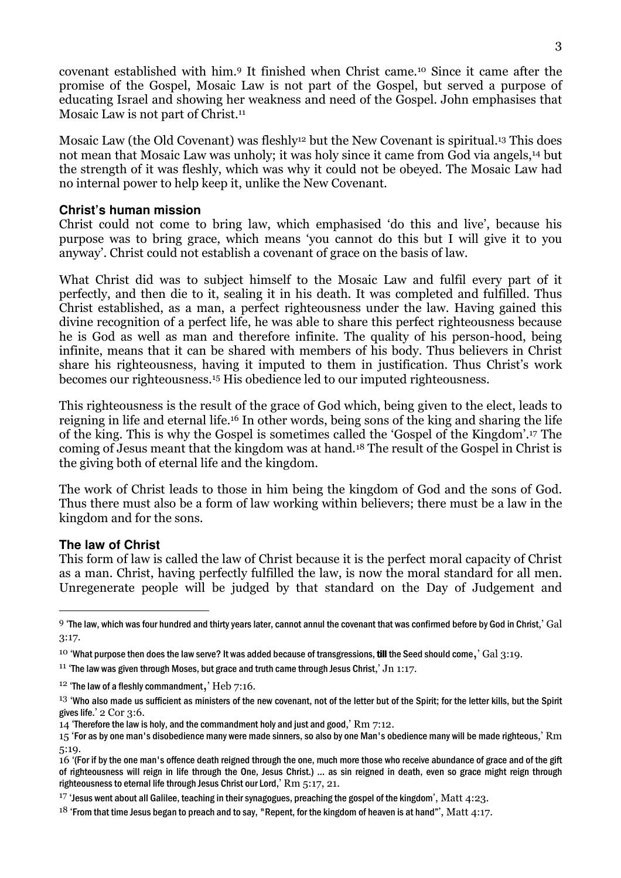covenant established with him.9 It finished when Christ came.10 Since it came after the promise of the Gospel, Mosaic Law is not part of the Gospel, but served a purpose of educating Israel and showing her weakness and need of the Gospel. John emphasises that Mosaic Law is not part of Christ.<sup>11</sup>

Mosaic Law (the Old Covenant) was fleshly<sup>12</sup> but the New Covenant is spiritual.<sup>13</sup> This does not mean that Mosaic Law was unholy; it was holy since it came from God via angels,14 but the strength of it was fleshly, which was why it could not be obeyed. The Mosaic Law had no internal power to help keep it, unlike the New Covenant.

### **Christ's human mission**

Christ could not come to bring law, which emphasised 'do this and live', because his purpose was to bring grace, which means 'you cannot do this but I will give it to you anyway'. Christ could not establish a covenant of grace on the basis of law.

What Christ did was to subject himself to the Mosaic Law and fulfil every part of it perfectly, and then die to it, sealing it in his death. It was completed and fulfilled. Thus Christ established, as a man, a perfect righteousness under the law. Having gained this divine recognition of a perfect life, he was able to share this perfect righteousness because he is God as well as man and therefore infinite. The quality of his person-hood, being infinite, means that it can be shared with members of his body. Thus believers in Christ share his righteousness, having it imputed to them in justification. Thus Christ's work becomes our righteousness.15 His obedience led to our imputed righteousness.

This righteousness is the result of the grace of God which, being given to the elect, leads to reigning in life and eternal life.16 In other words, being sons of the king and sharing the life of the king. This is why the Gospel is sometimes called the 'Gospel of the Kingdom'.17 The coming of Jesus meant that the kingdom was at hand.18 The result of the Gospel in Christ is the giving both of eternal life and the kingdom.

The work of Christ leads to those in him being the kingdom of God and the sons of God. Thus there must also be a form of law working within believers; there must be a law in the kingdom and for the sons.

#### **The law of Christ**

 $\overline{a}$ 

This form of law is called the law of Christ because it is the perfect moral capacity of Christ as a man. Christ, having perfectly fulfilled the law, is now the moral standard for all men. Unregenerate people will be judged by that standard on the Day of Judgement and

 $9$  'The law, which was four hundred and thirty years later, cannot annul the covenant that was confirmed before by God in Christ,' Gal 3:17.

<sup>&</sup>lt;sup>10</sup> 'What purpose then does the law serve? It was added because of transgressions, **till** the Seed should come,  $\hat{G}$  (3:19.

<sup>&</sup>lt;sup>11</sup> 'The law was given through Moses, but grace and truth came through Jesus Christ,' Jn 1:17.

 $12$  'The law of a fleshly commandment,'  $Heb$  7:16.

<sup>&</sup>lt;sup>13</sup> 'Who also made us sufficient as ministers of the new covenant, not of the letter but of the Spirit; for the letter kills, but the Spirit gives life.' 2 Cor 3:6.

<sup>14 &#</sup>x27;Therefore the law is holy, and the commandment holy and just and good,' Rm 7:12.

<sup>15 &#</sup>x27;For as by one man's disobedience many were made sinners, so also by one Man's obedience many will be made righteous,' Rm 5:19.

<sup>16</sup> '(For if by the one man's offence death reigned through the one, much more those who receive abundance of grace and of the gift of righteousness will reign in life through the One, Jesus Christ.) … as sin reigned in death, even so grace might reign through righteousness to eternal life through Jesus Christ our Lord,' Rm 5:17, 21.

 $17$  'Jesus went about all Galilee, teaching in their synagogues, preaching the gospel of the kingdom', Matt 4:23.

 $18$  'From that time Jesus began to preach and to say, "Repent, for the kingdom of heaven is at hand", Matt 4:17.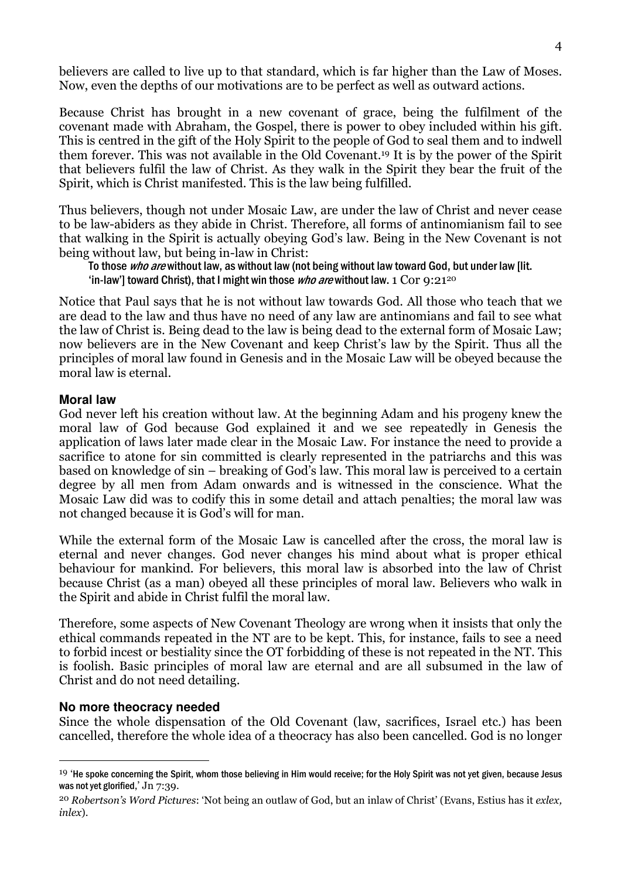believers are called to live up to that standard, which is far higher than the Law of Moses. Now, even the depths of our motivations are to be perfect as well as outward actions.

Because Christ has brought in a new covenant of grace, being the fulfilment of the covenant made with Abraham, the Gospel, there is power to obey included within his gift. This is centred in the gift of the Holy Spirit to the people of God to seal them and to indwell them forever. This was not available in the Old Covenant.19 It is by the power of the Spirit that believers fulfil the law of Christ. As they walk in the Spirit they bear the fruit of the Spirit, which is Christ manifested. This is the law being fulfilled.

Thus believers, though not under Mosaic Law, are under the law of Christ and never cease to be law-abiders as they abide in Christ. Therefore, all forms of antinomianism fail to see that walking in the Spirit is actually obeying God's law. Being in the New Covenant is not being without law, but being in-law in Christ:

To those who are without law, as without law (not being without law toward God, but under law [lit. 'in-law'] toward Christ), that I might win those *who are* without law, 1 Cor  $9:21^{20}$ 

Notice that Paul says that he is not without law towards God. All those who teach that we are dead to the law and thus have no need of any law are antinomians and fail to see what the law of Christ is. Being dead to the law is being dead to the external form of Mosaic Law; now believers are in the New Covenant and keep Christ's law by the Spirit. Thus all the principles of moral law found in Genesis and in the Mosaic Law will be obeyed because the moral law is eternal.

# **Moral law**

God never left his creation without law. At the beginning Adam and his progeny knew the moral law of God because God explained it and we see repeatedly in Genesis the application of laws later made clear in the Mosaic Law. For instance the need to provide a sacrifice to atone for sin committed is clearly represented in the patriarchs and this was based on knowledge of sin – breaking of God's law. This moral law is perceived to a certain degree by all men from Adam onwards and is witnessed in the conscience. What the Mosaic Law did was to codify this in some detail and attach penalties; the moral law was not changed because it is God's will for man.

While the external form of the Mosaic Law is cancelled after the cross, the moral law is eternal and never changes. God never changes his mind about what is proper ethical behaviour for mankind. For believers, this moral law is absorbed into the law of Christ because Christ (as a man) obeyed all these principles of moral law. Believers who walk in the Spirit and abide in Christ fulfil the moral law.

Therefore, some aspects of New Covenant Theology are wrong when it insists that only the ethical commands repeated in the NT are to be kept. This, for instance, fails to see a need to forbid incest or bestiality since the OT forbidding of these is not repeated in the NT. This is foolish. Basic principles of moral law are eternal and are all subsumed in the law of Christ and do not need detailing.

#### **No more theocracy needed**

 $\overline{a}$ 

Since the whole dispensation of the Old Covenant (law, sacrifices, Israel etc.) has been cancelled, therefore the whole idea of a theocracy has also been cancelled. God is no longer

<sup>&</sup>lt;sup>19</sup> 'He spoke concerning the Spirit, whom those believing in Him would receive; for the Holy Spirit was not yet given, because Jesus was not yet glorified,' Jn 7:39.

<sup>&</sup>lt;sup>20</sup> Robertson's Word Pictures: 'Not being an outlaw of God, but an inlaw of Christ' (Evans, Estius has it exlex, inlex).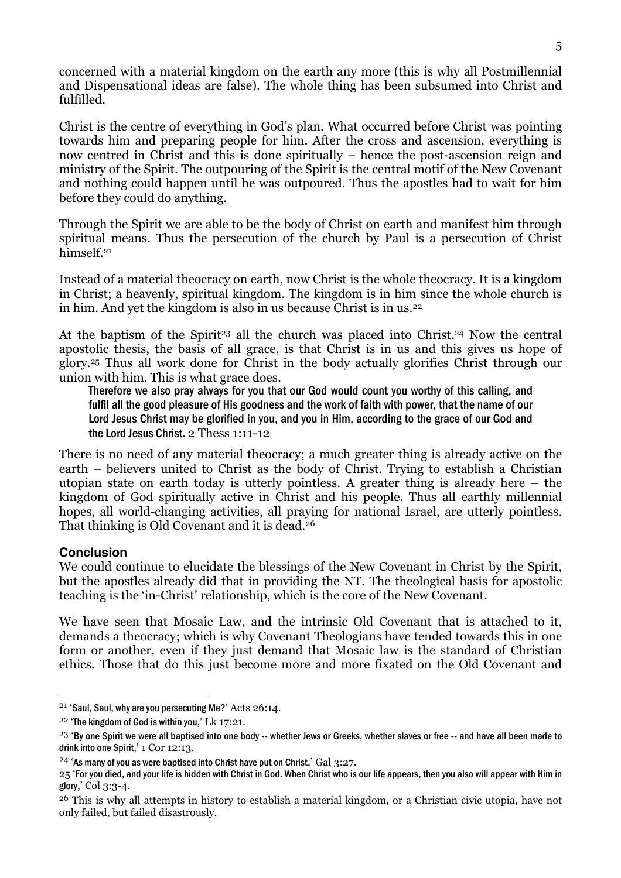concerned with a material kingdom on the earth any more (this is why all Postmillennial and Dispensational ideas are false). The whole thing has been subsumed into Christ and fulfilled.

Christ is the centre of everything in God's plan. What occurred before Christ was pointing towards him and preparing people for him. After the cross and ascension, everything is now centred in Christ and this is done spiritually – hence the post-ascension reign and ministry of the Spirit. The outpouring of the Spirit is the central motif of the New Covenant and nothing could happen until he was outpoured. Thus the apostles had to wait for him before they could do anything.

Through the Spirit we are able to be the body of Christ on earth and manifest him through spiritual means. Thus the persecution of the church by Paul is a persecution of Christ himself.<sup>21</sup>

Instead of a material theocracy on earth, now Christ is the whole theocracy. It is a kingdom in Christ; a heavenly, spiritual kingdom. The kingdom is in him since the whole church is in him. And yet the kingdom is also in us because Christ is in us.<sup>22</sup>

At the baptism of the Spirit<sup>23</sup> all the church was placed into Christ.<sup>24</sup> Now the central apostolic thesis, the basis of all grace, is that Christ is in us and this gives us hope of glory.25 Thus all work done for Christ in the body actually glorifies Christ through our union with him. This is what grace does.

Therefore we also pray always for you that our God would count you worthy of this calling, and fulfil all the good pleasure of His goodness and the work of faith with power, that the name of our Lord Jesus Christ may be glorified in you, and you in Him, according to the grace of our God and the Lord Jesus Christ. 2 Thess 1:11-12

There is no need of any material theocracy; a much greater thing is already active on the earth – believers united to Christ as the body of Christ. Trying to establish a Christian utopian state on earth today is utterly pointless. A greater thing is already here – the kingdom of God spiritually active in Christ and his people. Thus all earthly millennial hopes, all world-changing activities, all praying for national Israel, are utterly pointless. That thinking is Old Covenant and it is dead.<sup>26</sup>

# **Conclusion**

 $\overline{a}$ 

We could continue to elucidate the blessings of the New Covenant in Christ by the Spirit, but the apostles already did that in providing the NT. The theological basis for apostolic teaching is the 'in-Christ' relationship, which is the core of the New Covenant.

We have seen that Mosaic Law, and the intrinsic Old Covenant that is attached to it, demands a theocracy; which is why Covenant Theologians have tended towards this in one form or another, even if they just demand that Mosaic law is the standard of Christian ethics. Those that do this just become more and more fixated on the Old Covenant and

<sup>21</sup> 'Saul, Saul, why are you persecuting Me?' Acts 26:14.

<sup>22</sup> 'The kingdom of God is within you,' Lk 17:21.

 $23$  'By one Spirit we were all baptised into one body -- whether Jews or Greeks, whether slaves or free -- and have all been made to drink into one Spirit,' 1 Cor 12:13.

<sup>&</sup>lt;sup>24</sup> 'As many of you as were baptised into Christ have put on Christ,  $\overline{a}$  Gal 3:27.

<sup>25 &#</sup>x27;For you died, and your life is hidden with Christ in God. When Christ who is our life appears, then you also will appear with Him in glory,' Col  $3:3-4$ .

<sup>26</sup> This is why all attempts in history to establish a material kingdom, or a Christian civic utopia, have not only failed, but failed disastrously.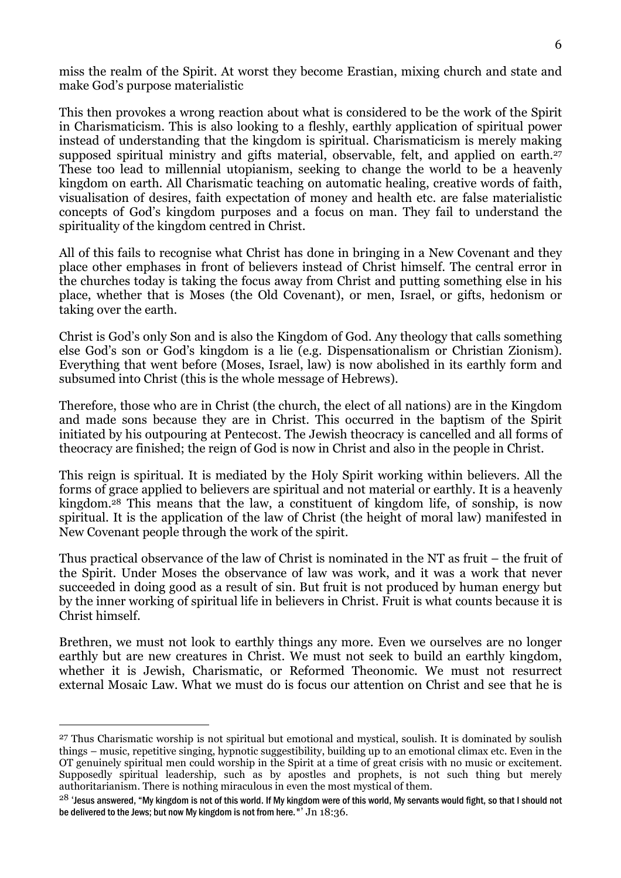miss the realm of the Spirit. At worst they become Erastian, mixing church and state and make God's purpose materialistic

This then provokes a wrong reaction about what is considered to be the work of the Spirit in Charismaticism. This is also looking to a fleshly, earthly application of spiritual power instead of understanding that the kingdom is spiritual. Charismaticism is merely making supposed spiritual ministry and gifts material, observable, felt, and applied on earth.<sup>27</sup> These too lead to millennial utopianism, seeking to change the world to be a heavenly kingdom on earth. All Charismatic teaching on automatic healing, creative words of faith, visualisation of desires, faith expectation of money and health etc. are false materialistic concepts of God's kingdom purposes and a focus on man. They fail to understand the spirituality of the kingdom centred in Christ.

All of this fails to recognise what Christ has done in bringing in a New Covenant and they place other emphases in front of believers instead of Christ himself. The central error in the churches today is taking the focus away from Christ and putting something else in his place, whether that is Moses (the Old Covenant), or men, Israel, or gifts, hedonism or taking over the earth.

Christ is God's only Son and is also the Kingdom of God. Any theology that calls something else God's son or God's kingdom is a lie (e.g. Dispensationalism or Christian Zionism). Everything that went before (Moses, Israel, law) is now abolished in its earthly form and subsumed into Christ (this is the whole message of Hebrews).

Therefore, those who are in Christ (the church, the elect of all nations) are in the Kingdom and made sons because they are in Christ. This occurred in the baptism of the Spirit initiated by his outpouring at Pentecost. The Jewish theocracy is cancelled and all forms of theocracy are finished; the reign of God is now in Christ and also in the people in Christ.

This reign is spiritual. It is mediated by the Holy Spirit working within believers. All the forms of grace applied to believers are spiritual and not material or earthly. It is a heavenly kingdom.28 This means that the law, a constituent of kingdom life, of sonship, is now spiritual. It is the application of the law of Christ (the height of moral law) manifested in New Covenant people through the work of the spirit.

Thus practical observance of the law of Christ is nominated in the NT as fruit – the fruit of the Spirit. Under Moses the observance of law was work, and it was a work that never succeeded in doing good as a result of sin. But fruit is not produced by human energy but by the inner working of spiritual life in believers in Christ. Fruit is what counts because it is Christ himself.

Brethren, we must not look to earthly things any more. Even we ourselves are no longer earthly but are new creatures in Christ. We must not seek to build an earthly kingdom, whether it is Jewish, Charismatic, or Reformed Theonomic. We must not resurrect external Mosaic Law. What we must do is focus our attention on Christ and see that he is

I

<sup>27</sup> Thus Charismatic worship is not spiritual but emotional and mystical, soulish. It is dominated by soulish things – music, repetitive singing, hypnotic suggestibility, building up to an emotional climax etc. Even in the OT genuinely spiritual men could worship in the Spirit at a time of great crisis with no music or excitement. Supposedly spiritual leadership, such as by apostles and prophets, is not such thing but merely authoritarianism. There is nothing miraculous in even the most mystical of them.

 $^{28}$  'Jesus answered, "My kingdom is not of this world. If My kingdom were of this world, My servants would fight, so that I should not be delivered to the Jews; but now My kingdom is not from here."' Jn 18:36.